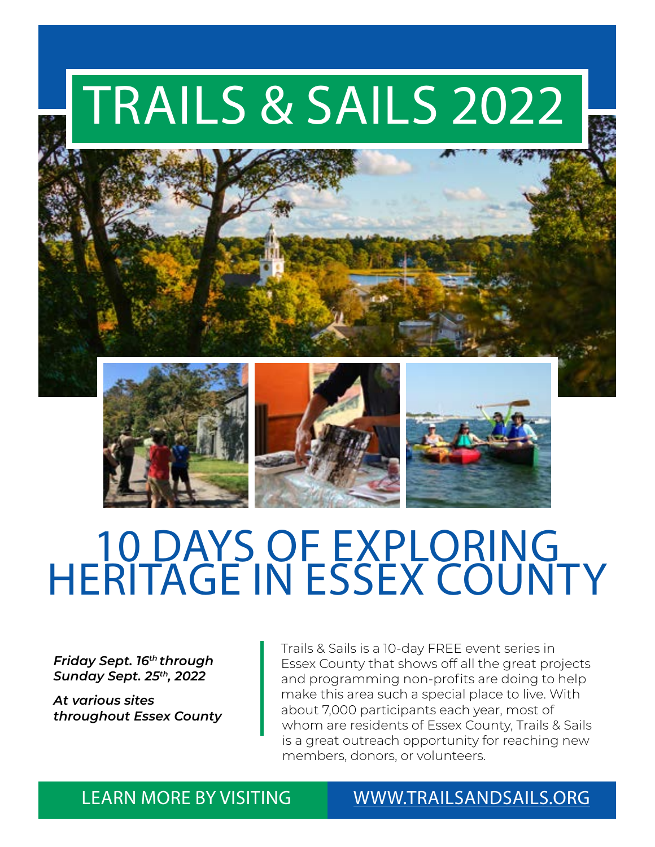# TRAILS & SAILS 2022



### 10 DAYS OF EXPLORING HERITAGE IN ESSEX COUNTY

*Friday Sept. 16th through Sunday Sept. 25th, 2022*

*At various sites throughout Essex County* Trails & Sails is a 10-day FREE event series in Essex County that shows off all the great projects and programming non-profits are doing to help make this area such a special place to live. With about 7,000 participants each year, most of whom are residents of Essex County, Trails & Sails is a great outreach opportunity for reaching new members, donors, or volunteers.

LEARN MORE BY VISITING [WWW.TRAILSANDSAILS.ORG](http://www.Trailsandsails.org)